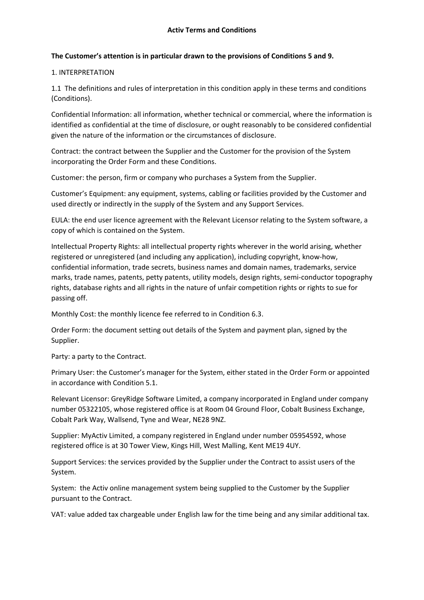### **The Customer's attention is in particular drawn to the provisions of Conditions 5 and 9.**

#### 1. INTERPRETATION

1.1 The definitions and rules of interpretation in this condition apply in these terms and conditions (Conditions).

Confidential Information: all information, whether technical or commercial, where the information is identified as confidential at the time of disclosure, or ought reasonably to be considered confidential given the nature of the information or the circumstances of disclosure.

Contract: the contract between the Supplier and the Customer for the provision of the System incorporating the Order Form and these Conditions.

Customer: the person, firm or company who purchases a System from the Supplier.

Customer's Equipment: any equipment, systems, cabling or facilities provided by the Customer and used directly or indirectly in the supply of the System and any Support Services.

EULA: the end user licence agreement with the Relevant Licensor relating to the System software, a copy of which is contained on the System.

Intellectual Property Rights: all intellectual property rights wherever in the world arising, whether registered or unregistered (and including any application), including copyright, know-how, confidential information, trade secrets, business names and domain names, trademarks, service marks, trade names, patents, petty patents, utility models, design rights, semi-conductor topography rights, database rights and all rights in the nature of unfair competition rights or rights to sue for passing off.

Monthly Cost: the monthly licence fee referred to in Condition 6.3.

Order Form: the document setting out details of the System and payment plan, signed by the Supplier.

Party: a party to the Contract.

Primary User: the Customer's manager for the System, either stated in the Order Form or appointed in accordance with Condition 5.1.

Relevant Licensor: GreyRidge Software Limited, a company incorporated in England under company number 05322105, whose registered office is at Room 04 Ground Floor, Cobalt Business Exchange, Cobalt Park Way, Wallsend, Tyne and Wear, NE28 9NZ.

Supplier: MyActiv Limited, a company registered in England under number 05954592, whose registered office is at 30 Tower View, Kings Hill, West Malling, Kent ME19 4UY.

Support Services: the services provided by the Supplier under the Contract to assist users of the System.

System: the Activ online management system being supplied to the Customer by the Supplier pursuant to the Contract.

VAT: value added tax chargeable under English law for the time being and any similar additional tax.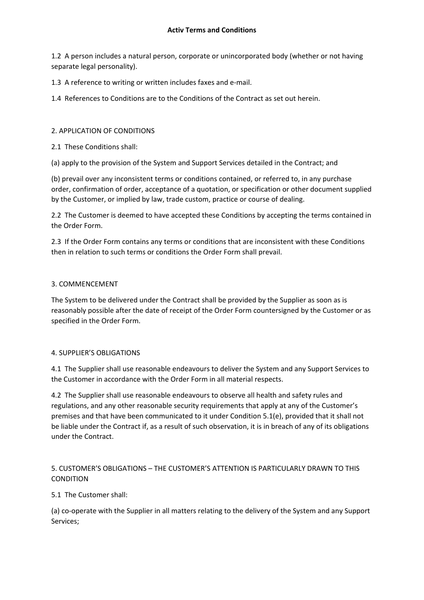1.2 A person includes a natural person, corporate or unincorporated body (whether or not having separate legal personality).

1.3 A reference to writing or written includes faxes and e-mail.

1.4 References to Conditions are to the Conditions of the Contract as set out herein.

## 2. APPLICATION OF CONDITIONS

2.1 These Conditions shall:

(a) apply to the provision of the System and Support Services detailed in the Contract; and

(b) prevail over any inconsistent terms or conditions contained, or referred to, in any purchase order, confirmation of order, acceptance of a quotation, or specification or other document supplied by the Customer, or implied by law, trade custom, practice or course of dealing.

2.2 The Customer is deemed to have accepted these Conditions by accepting the terms contained in the Order Form.

2.3 If the Order Form contains any terms or conditions that are inconsistent with these Conditions then in relation to such terms or conditions the Order Form shall prevail.

### 3. COMMENCEMENT

The System to be delivered under the Contract shall be provided by the Supplier as soon as is reasonably possible after the date of receipt of the Order Form countersigned by the Customer or as specified in the Order Form.

### 4. SUPPLIER'S OBLIGATIONS

4.1 The Supplier shall use reasonable endeavours to deliver the System and any Support Services to the Customer in accordance with the Order Form in all material respects.

4.2 The Supplier shall use reasonable endeavours to observe all health and safety rules and regulations, and any other reasonable security requirements that apply at any of the Customer's premises and that have been communicated to it under Condition 5.1(e), provided that it shall not be liable under the Contract if, as a result of such observation, it is in breach of any of its obligations under the Contract.

## 5. CUSTOMER'S OBLIGATIONS – THE CUSTOMER'S ATTENTION IS PARTICULARLY DRAWN TO THIS CONDITION

# 5.1 The Customer shall:

(a) co-operate with the Supplier in all matters relating to the delivery of the System and any Support Services;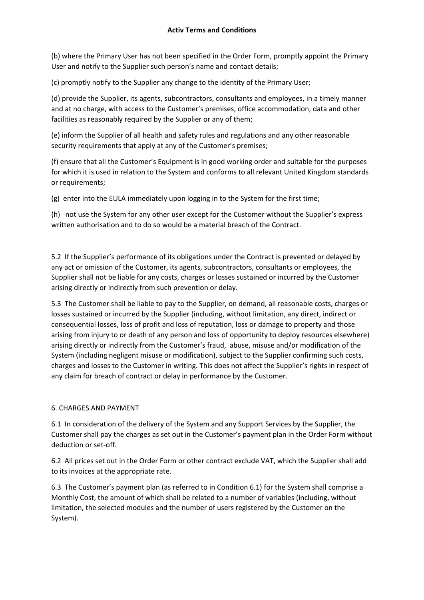(b) where the Primary User has not been specified in the Order Form, promptly appoint the Primary User and notify to the Supplier such person's name and contact details;

(c) promptly notify to the Supplier any change to the identity of the Primary User;

(d) provide the Supplier, its agents, subcontractors, consultants and employees, in a timely manner and at no charge, with access to the Customer's premises, office accommodation, data and other facilities as reasonably required by the Supplier or any of them;

(e) inform the Supplier of all health and safety rules and regulations and any other reasonable security requirements that apply at any of the Customer's premises;

(f) ensure that all the Customer's Equipment is in good working order and suitable for the purposes for which it is used in relation to the System and conforms to all relevant United Kingdom standards or requirements;

(g) enter into the EULA immediately upon logging in to the System for the first time;

(h) not use the System for any other user except for the Customer without the Supplier's express written authorisation and to do so would be a material breach of the Contract.

5.2 If the Supplier's performance of its obligations under the Contract is prevented or delayed by any act or omission of the Customer, its agents, subcontractors, consultants or employees, the Supplier shall not be liable for any costs, charges or losses sustained or incurred by the Customer arising directly or indirectly from such prevention or delay.

5.3 The Customer shall be liable to pay to the Supplier, on demand, all reasonable costs, charges or losses sustained or incurred by the Supplier (including, without limitation, any direct, indirect or consequential losses, loss of profit and loss of reputation, loss or damage to property and those arising from injury to or death of any person and loss of opportunity to deploy resources elsewhere) arising directly or indirectly from the Customer's fraud, abuse, misuse and/or modification of the System (including negligent misuse or modification), subject to the Supplier confirming such costs, charges and losses to the Customer in writing. This does not affect the Supplier's rights in respect of any claim for breach of contract or delay in performance by the Customer.

# 6. CHARGES AND PAYMENT

6.1 In consideration of the delivery of the System and any Support Services by the Supplier, the Customer shall pay the charges as set out in the Customer's payment plan in the Order Form without deduction or set-off.

6.2 All prices set out in the Order Form or other contract exclude VAT, which the Supplier shall add to its invoices at the appropriate rate.

6.3 The Customer's payment plan (as referred to in Condition 6.1) for the System shall comprise a Monthly Cost, the amount of which shall be related to a number of variables (including, without limitation, the selected modules and the number of users registered by the Customer on the System).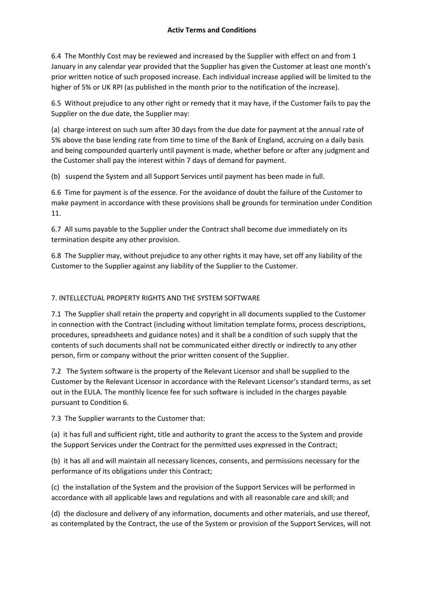6.4 The Monthly Cost may be reviewed and increased by the Supplier with effect on and from 1 January in any calendar year provided that the Supplier has given the Customer at least one month's prior written notice of such proposed increase. Each individual increase applied will be limited to the higher of 5% or UK RPI (as published in the month prior to the notification of the increase).

6.5 Without prejudice to any other right or remedy that it may have, if the Customer fails to pay the Supplier on the due date, the Supplier may:

(a) charge interest on such sum after 30 days from the due date for payment at the annual rate of 5% above the base lending rate from time to time of the Bank of England, accruing on a daily basis and being compounded quarterly until payment is made, whether before or after any judgment and the Customer shall pay the interest within 7 days of demand for payment.

(b) suspend the System and all Support Services until payment has been made in full.

6.6 Time for payment is of the essence. For the avoidance of doubt the failure of the Customer to make payment in accordance with these provisions shall be grounds for termination under Condition 11.

6.7 All sums payable to the Supplier under the Contract shall become due immediately on its termination despite any other provision.

6.8 The Supplier may, without prejudice to any other rights it may have, set off any liability of the Customer to the Supplier against any liability of the Supplier to the Customer.

## 7. INTELLECTUAL PROPERTY RIGHTS AND THE SYSTEM SOFTWARE

7.1 The Supplier shall retain the property and copyright in all documents supplied to the Customer in connection with the Contract (including without limitation template forms, process descriptions, procedures, spreadsheets and guidance notes) and it shall be a condition of such supply that the contents of such documents shall not be communicated either directly or indirectly to any other person, firm or company without the prior written consent of the Supplier.

7.2 The System software is the property of the Relevant Licensor and shall be supplied to the Customer by the Relevant Licensor in accordance with the Relevant Licensor's standard terms, as set out in the EULA. The monthly licence fee for such software is included in the charges payable pursuant to Condition 6.

7.3 The Supplier warrants to the Customer that:

(a) it has full and sufficient right, title and authority to grant the access to the System and provide the Support Services under the Contract for the permitted uses expressed in the Contract;

(b) it has all and will maintain all necessary licences, consents, and permissions necessary for the performance of its obligations under this Contract;

(c) the installation of the System and the provision of the Support Services will be performed in accordance with all applicable laws and regulations and with all reasonable care and skill; and

(d) the disclosure and delivery of any information, documents and other materials, and use thereof, as contemplated by the Contract, the use of the System or provision of the Support Services, will not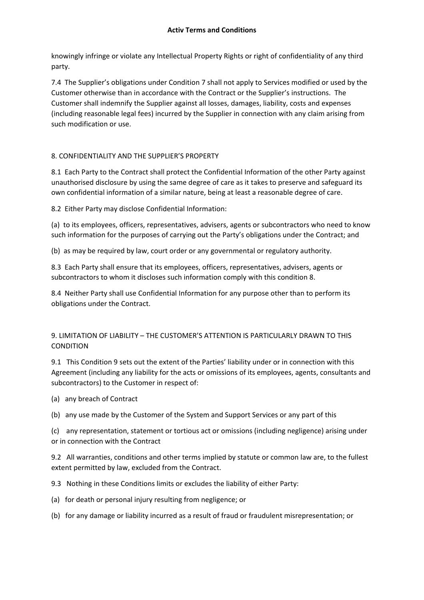knowingly infringe or violate any Intellectual Property Rights or right of confidentiality of any third party.

7.4 The Supplier's obligations under Condition 7 shall not apply to Services modified or used by the Customer otherwise than in accordance with the Contract or the Supplier's instructions. The Customer shall indemnify the Supplier against all losses, damages, liability, costs and expenses (including reasonable legal fees) incurred by the Supplier in connection with any claim arising from such modification or use.

# 8. CONFIDENTIALITY AND THE SUPPLIER'S PROPERTY

8.1 Each Party to the Contract shall protect the Confidential Information of the other Party against unauthorised disclosure by using the same degree of care as it takes to preserve and safeguard its own confidential information of a similar nature, being at least a reasonable degree of care.

8.2 Either Party may disclose Confidential Information:

(a) to its employees, officers, representatives, advisers, agents or subcontractors who need to know such information for the purposes of carrying out the Party's obligations under the Contract; and

(b) as may be required by law, court order or any governmental or regulatory authority.

8.3 Each Party shall ensure that its employees, officers, representatives, advisers, agents or subcontractors to whom it discloses such information comply with this condition 8.

8.4 Neither Party shall use Confidential Information for any purpose other than to perform its obligations under the Contract.

# 9. LIMITATION OF LIABILITY – THE CUSTOMER'S ATTENTION IS PARTICULARLY DRAWN TO THIS CONDITION

9.1 This Condition 9 sets out the extent of the Parties' liability under or in connection with this Agreement (including any liability for the acts or omissions of its employees, agents, consultants and subcontractors) to the Customer in respect of:

(a) any breach of Contract

(b) any use made by the Customer of the System and Support Services or any part of this

(c) any representation, statement or tortious act or omissions (including negligence) arising under or in connection with the Contract

9.2 All warranties, conditions and other terms implied by statute or common law are, to the fullest extent permitted by law, excluded from the Contract.

9.3 Nothing in these Conditions limits or excludes the liability of either Party:

- (a) for death or personal injury resulting from negligence; or
- (b) for any damage or liability incurred as a result of fraud or fraudulent misrepresentation; or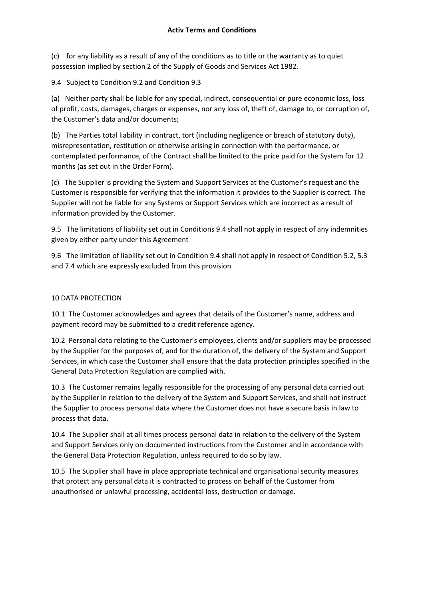(c) for any liability as a result of any of the conditions as to title or the warranty as to quiet possession implied by section 2 of the Supply of Goods and Services Act 1982.

9.4 Subject to Condition 9.2 and Condition 9.3

(a) Neither party shall be liable for any special, indirect, consequential or pure economic loss, loss of profit, costs, damages, charges or expenses, nor any loss of, theft of, damage to, or corruption of, the Customer's data and/or documents;

(b) The Parties total liability in contract, tort (including negligence or breach of statutory duty), misrepresentation, restitution or otherwise arising in connection with the performance, or contemplated performance, of the Contract shall be limited to the price paid for the System for 12 months (as set out in the Order Form).

(c) The Supplier is providing the System and Support Services at the Customer's request and the Customer is responsible for verifying that the information it provides to the Supplier is correct. The Supplier will not be liable for any Systems or Support Services which are incorrect as a result of information provided by the Customer.

9.5 The limitations of liability set out in Conditions 9.4 shall not apply in respect of any indemnities given by either party under this Agreement

9.6 The limitation of liability set out in Condition 9.4 shall not apply in respect of Condition 5.2, 5.3 and 7.4 which are expressly excluded from this provision

## 10 DATA PROTECTION

10.1 The Customer acknowledges and agrees that details of the Customer's name, address and payment record may be submitted to a credit reference agency.

10.2 Personal data relating to the Customer's employees, clients and/or suppliers may be processed by the Supplier for the purposes of, and for the duration of, the delivery of the System and Support Services, in which case the Customer shall ensure that the data protection principles specified in the General Data Protection Regulation are complied with.

10.3 The Customer remains legally responsible for the processing of any personal data carried out by the Supplier in relation to the delivery of the System and Support Services, and shall not instruct the Supplier to process personal data where the Customer does not have a secure basis in law to process that data.

10.4 The Supplier shall at all times process personal data in relation to the delivery of the System and Support Services only on documented instructions from the Customer and in accordance with the General Data Protection Regulation, unless required to do so by law.

10.5 The Supplier shall have in place appropriate technical and organisational security measures that protect any personal data it is contracted to process on behalf of the Customer from unauthorised or unlawful processing, accidental loss, destruction or damage.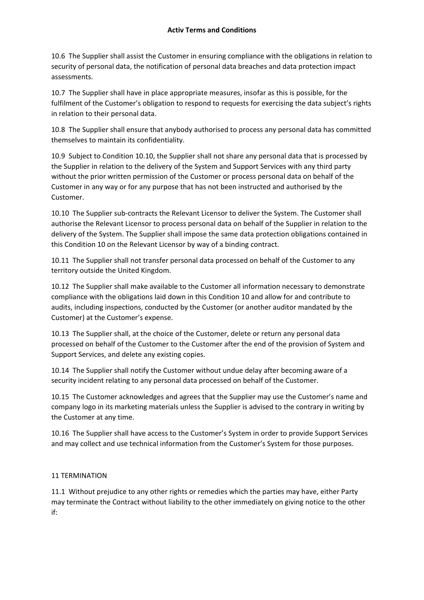10.6 The Supplier shall assist the Customer in ensuring compliance with the obligations in relation to security of personal data, the notification of personal data breaches and data protection impact assessments.

10.7 The Supplier shall have in place appropriate measures, insofar as this is possible, for the fulfilment of the Customer's obligation to respond to requests for exercising the data subject's rights in relation to their personal data.

10.8 The Supplier shall ensure that anybody authorised to process any personal data has committed themselves to maintain its confidentiality.

10.9 Subject to Condition 10.10, the Supplier shall not share any personal data that is processed by the Supplier in relation to the delivery of the System and Support Services with any third party without the prior written permission of the Customer or process personal data on behalf of the Customer in any way or for any purpose that has not been instructed and authorised by the Customer.

10.10 The Supplier sub-contracts the Relevant Licensor to deliver the System. The Customer shall authorise the Relevant Licensor to process personal data on behalf of the Supplier in relation to the delivery of the System. The Supplier shall impose the same data protection obligations contained in this Condition 10 on the Relevant Licensor by way of a binding contract.

10.11 The Supplier shall not transfer personal data processed on behalf of the Customer to any territory outside the United Kingdom.

10.12 The Supplier shall make available to the Customer all information necessary to demonstrate compliance with the obligations laid down in this Condition 10 and allow for and contribute to audits, including inspections, conducted by the Customer (or another auditor mandated by the Customer) at the Customer's expense.

10.13 The Supplier shall, at the choice of the Customer, delete or return any personal data processed on behalf of the Customer to the Customer after the end of the provision of System and Support Services, and delete any existing copies.

10.14 The Supplier shall notify the Customer without undue delay after becoming aware of a security incident relating to any personal data processed on behalf of the Customer.

10.15 The Customer acknowledges and agrees that the Supplier may use the Customer's name and company logo in its marketing materials unless the Supplier is advised to the contrary in writing by the Customer at any time.

10.16 The Supplier shall have access to the Customer's System in order to provide Support Services and may collect and use technical information from the Customer's System for those purposes.

# 11 TERMINATION

11.1 Without prejudice to any other rights or remedies which the parties may have, either Party may terminate the Contract without liability to the other immediately on giving notice to the other if: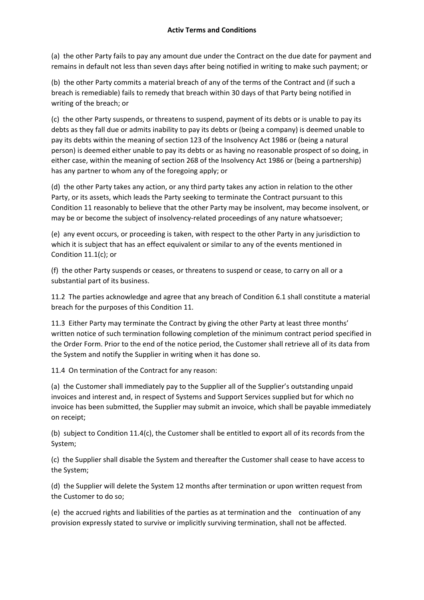#### **Activ Terms and Conditions**

(a) the other Party fails to pay any amount due under the Contract on the due date for payment and remains in default not less than seven days after being notified in writing to make such payment; or

(b) the other Party commits a material breach of any of the terms of the Contract and (if such a breach is remediable) fails to remedy that breach within 30 days of that Party being notified in writing of the breach; or

(c) the other Party suspends, or threatens to suspend, payment of its debts or is unable to pay its debts as they fall due or admits inability to pay its debts or (being a company) is deemed unable to pay its debts within the meaning of section 123 of the Insolvency Act 1986 or (being a natural person) is deemed either unable to pay its debts or as having no reasonable prospect of so doing, in either case, within the meaning of section 268 of the Insolvency Act 1986 or (being a partnership) has any partner to whom any of the foregoing apply; or

(d) the other Party takes any action, or any third party takes any action in relation to the other Party, or its assets, which leads the Party seeking to terminate the Contract pursuant to this Condition 11 reasonably to believe that the other Party may be insolvent, may become insolvent, or may be or become the subject of insolvency-related proceedings of any nature whatsoever;

(e) any event occurs, or proceeding is taken, with respect to the other Party in any jurisdiction to which it is subject that has an effect equivalent or similar to any of the events mentioned in Condition 11.1(c); or

(f) the other Party suspends or ceases, or threatens to suspend or cease, to carry on all or a substantial part of its business.

11.2 The parties acknowledge and agree that any breach of Condition 6.1 shall constitute a material breach for the purposes of this Condition 11.

11.3 Either Party may terminate the Contract by giving the other Party at least three months' written notice of such termination following completion of the minimum contract period specified in the Order Form. Prior to the end of the notice period, the Customer shall retrieve all of its data from the System and notify the Supplier in writing when it has done so.

11.4 On termination of the Contract for any reason:

(a) the Customer shall immediately pay to the Supplier all of the Supplier's outstanding unpaid invoices and interest and, in respect of Systems and Support Services supplied but for which no invoice has been submitted, the Supplier may submit an invoice, which shall be payable immediately on receipt;

(b) subject to Condition 11.4(c), the Customer shall be entitled to export all of its records from the System;

(c) the Supplier shall disable the System and thereafter the Customer shall cease to have access to the System;

(d) the Supplier will delete the System 12 months after termination or upon written request from the Customer to do so;

(e) the accrued rights and liabilities of the parties as at termination and the continuation of any provision expressly stated to survive or implicitly surviving termination, shall not be affected.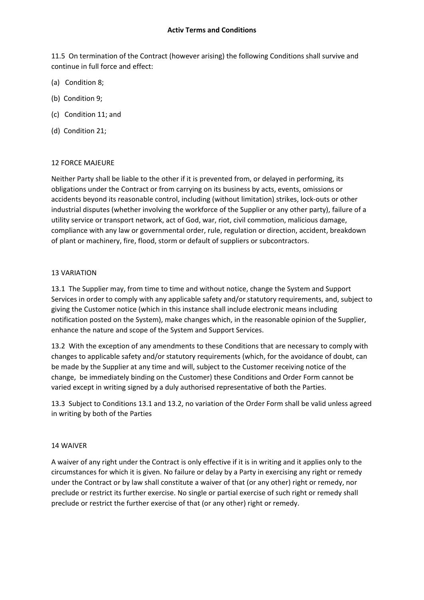11.5 On termination of the Contract (however arising) the following Conditions shall survive and continue in full force and effect:

- (a) Condition 8;
- (b) Condition 9;
- (c) Condition 11; and
- (d) Condition 21;

#### 12 FORCE MAJEURE

Neither Party shall be liable to the other if it is prevented from, or delayed in performing, its obligations under the Contract or from carrying on its business by acts, events, omissions or accidents beyond its reasonable control, including (without limitation) strikes, lock-outs or other industrial disputes (whether involving the workforce of the Supplier or any other party), failure of a utility service or transport network, act of God, war, riot, civil commotion, malicious damage, compliance with any law or governmental order, rule, regulation or direction, accident, breakdown of plant or machinery, fire, flood, storm or default of suppliers or subcontractors.

#### 13 VARIATION

13.1 The Supplier may, from time to time and without notice, change the System and Support Services in order to comply with any applicable safety and/or statutory requirements, and, subject to giving the Customer notice (which in this instance shall include electronic means including notification posted on the System), make changes which, in the reasonable opinion of the Supplier, enhance the nature and scope of the System and Support Services.

13.2 With the exception of any amendments to these Conditions that are necessary to comply with changes to applicable safety and/or statutory requirements (which, for the avoidance of doubt, can be made by the Supplier at any time and will, subject to the Customer receiving notice of the change, be immediately binding on the Customer) these Conditions and Order Form cannot be varied except in writing signed by a duly authorised representative of both the Parties.

13.3 Subject to Conditions 13.1 and 13.2, no variation of the Order Form shall be valid unless agreed in writing by both of the Parties

#### 14 WAIVER

A waiver of any right under the Contract is only effective if it is in writing and it applies only to the circumstances for which it is given. No failure or delay by a Party in exercising any right or remedy under the Contract or by law shall constitute a waiver of that (or any other) right or remedy, nor preclude or restrict its further exercise. No single or partial exercise of such right or remedy shall preclude or restrict the further exercise of that (or any other) right or remedy.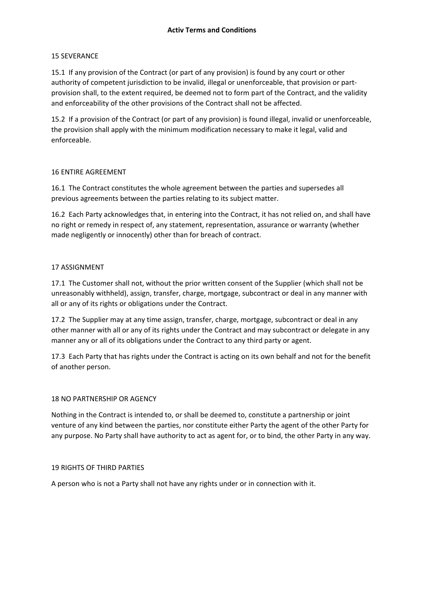#### 15 SEVERANCE

15.1 If any provision of the Contract (or part of any provision) is found by any court or other authority of competent jurisdiction to be invalid, illegal or unenforceable, that provision or partprovision shall, to the extent required, be deemed not to form part of the Contract, and the validity and enforceability of the other provisions of the Contract shall not be affected.

15.2 If a provision of the Contract (or part of any provision) is found illegal, invalid or unenforceable, the provision shall apply with the minimum modification necessary to make it legal, valid and enforceable.

### 16 ENTIRE AGREEMENT

16.1 The Contract constitutes the whole agreement between the parties and supersedes all previous agreements between the parties relating to its subject matter.

16.2 Each Party acknowledges that, in entering into the Contract, it has not relied on, and shall have no right or remedy in respect of, any statement, representation, assurance or warranty (whether made negligently or innocently) other than for breach of contract.

#### 17 ASSIGNMENT

17.1 The Customer shall not, without the prior written consent of the Supplier (which shall not be unreasonably withheld), assign, transfer, charge, mortgage, subcontract or deal in any manner with all or any of its rights or obligations under the Contract.

17.2 The Supplier may at any time assign, transfer, charge, mortgage, subcontract or deal in any other manner with all or any of its rights under the Contract and may subcontract or delegate in any manner any or all of its obligations under the Contract to any third party or agent.

17.3 Each Party that has rights under the Contract is acting on its own behalf and not for the benefit of another person.

#### 18 NO PARTNERSHIP OR AGENCY

Nothing in the Contract is intended to, or shall be deemed to, constitute a partnership or joint venture of any kind between the parties, nor constitute either Party the agent of the other Party for any purpose. No Party shall have authority to act as agent for, or to bind, the other Party in any way.

#### 19 RIGHTS OF THIRD PARTIES

A person who is not a Party shall not have any rights under or in connection with it.